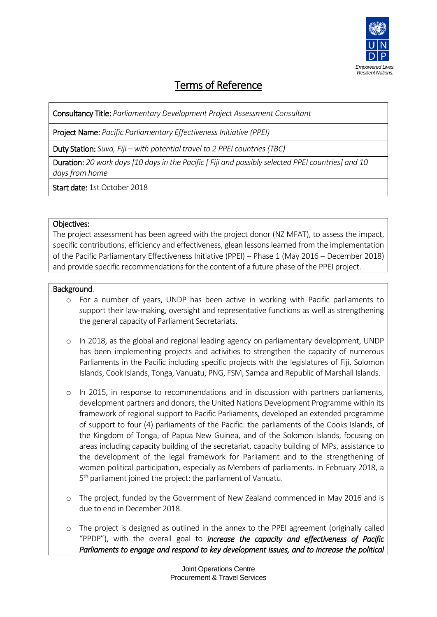

# Terms of Reference

Consultancy Title: *Parliamentary Development Project Assessment Consultant*

Project Name: *Pacific Parliamentary Effectiveness Initiative (PPEI)*

Duty Station: *Suva, Fiji – with potential travel to 2 PPEI countries (TBC)*

Duration: *20 work days [10 days in the Pacific [ Fiji and possibly selected PPEI countries] and 10 days from home*

Start date: 1st October 2018

### Objectives:

The project assessment has been agreed with the project donor (NZ MFAT), to assess the impact, specific contributions, efficiency and effectiveness, glean lessons learned from the implementation of the Pacific Parliamentary Effectiveness Initiative (PPEI) – Phase 1 (May 2016 – December 2018) and provide specific recommendations for the content of a future phase of the PPEI project.

## Background.

- o For a number of years, UNDP has been active in working with Pacific parliaments to support their law-making, oversight and representative functions as well as strengthening the general capacity of Parliament Secretariats.
- o In 2018, as the global and regional leading agency on parliamentary development, UNDP has been implementing projects and activities to strengthen the capacity of numerous Parliaments in the Pacific including specific projects with the legislatures of Fiji, Solomon Islands, Cook Islands, Tonga, Vanuatu, PNG, FSM, Samoa and Republic of Marshall Islands.
- o In 2015, in response to recommendations and in discussion with partners parliaments, development partners and donors, the United Nations Development Programme within its framework of regional support to Pacific Parliaments, developed an extended programme of support to four (4) parliaments of the Pacific: the parliaments of the Cooks Islands, of the Kingdom of Tonga, of Papua New Guinea, and of the Solomon Islands, focusing on areas including capacity building of the secretariat, capacity building of MPs, assistance to the development of the legal framework for Parliament and to the strengthening of women political participation, especially as Members of parliaments. In February 2018, a 5<sup>th</sup> parliament joined the project: the parliament of Vanuatu.
- o The project, funded by the Government of New Zealand commenced in May 2016 and is due to end in December 2018.
- o The project is designed as outlined in the annex to the PPEI agreement (originally called "PPDP"), with the overall goal to *increase the capacity and effectiveness of Pacific Parliaments to engage and respond to key development issues, and to increase the political*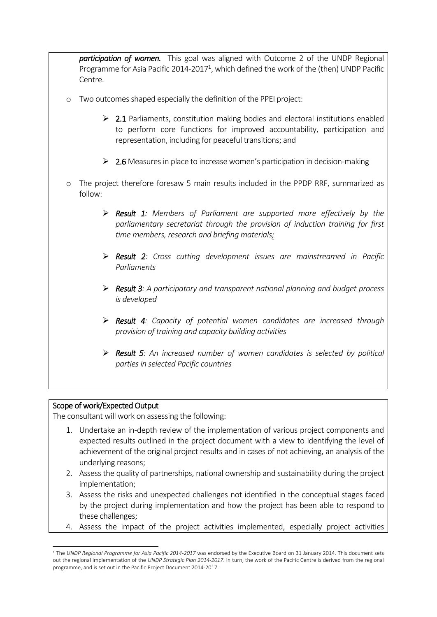*participation of women.* This goal was aligned with Outcome 2 of the UNDP Regional Programme for Asia Pacific 2014-2017<sup>1</sup>, which defined the work of the (then) UNDP Pacific Centre.

- o Two outcomes shaped especially the definition of the PPEI project:
	- $\triangleright$  2.1 Parliaments, constitution making bodies and electoral institutions enabled to perform core functions for improved accountability, participation and representation, including for peaceful transitions; and
	- $\geq 2.6$  Measures in place to increase women's participation in decision-making
- o The project therefore foresaw 5 main results included in the PPDP RRF, summarized as follow:
	- ➢ *Result 1: Members of Parliament are supported more effectively by the parliamentary secretariat through the provision of induction training for first time members, research and briefing materials;*
	- ➢ *Result 2: Cross cutting development issues are mainstreamed in Pacific Parliaments*
	- ➢ *Result 3: A participatory and transparent national planning and budget process is developed*
	- ➢ *Result 4: Capacity of potential women candidates are increased through provision of training and capacity building activities*
	- ➢ *Result 5: An increased number of women candidates is selected by political parties in selected Pacific countries*

### Scope of work/Expected Output

1

The consultant will work on assessing the following:

- 1. Undertake an in-depth review of the implementation of various project components and expected results outlined in the project document with a view to identifying the level of achievement of the original project results and in cases of not achieving, an analysis of the underlying reasons;
- 2. Assess the quality of partnerships, national ownership and sustainability during the project implementation;
- 3. Assess the risks and unexpected challenges not identified in the conceptual stages faced by the project during implementation and how the project has been able to respond to these challenges;
- 4. Assess the impact of the project activities implemented, especially project activities

<sup>&</sup>lt;sup>1</sup> The *UNDP Regional Programme for Asia Pacific 2014-2017* was endorsed by the Executive Board on 31 January 2014. This document sets out the regional implementation of the *UNDP Strategic Plan 2014-2017*. In turn, the work of the Pacific Centre is derived from the regional programme, and is set out in the Pacific Project Document 2014-2017.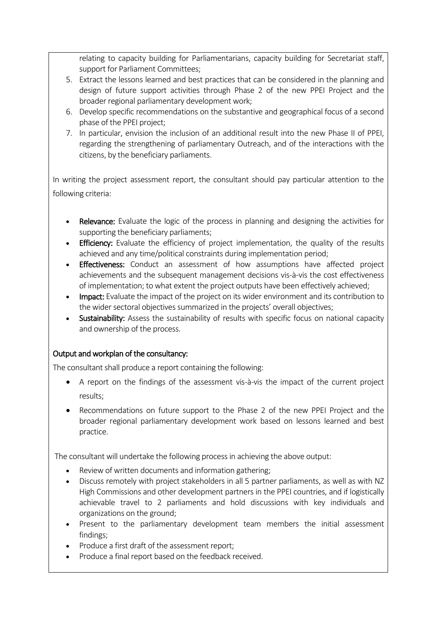relating to capacity building for Parliamentarians, capacity building for Secretariat staff, support for Parliament Committees;

- 5. Extract the lessons learned and best practices that can be considered in the planning and design of future support activities through Phase 2 of the new PPEI Project and the broader regional parliamentary development work;
- 6. Develop specific recommendations on the substantive and geographical focus of a second phase of the PPEI project;
- 7. In particular, envision the inclusion of an additional result into the new Phase II of PPEI, regarding the strengthening of parliamentary Outreach, and of the interactions with the citizens, by the beneficiary parliaments.

In writing the project assessment report, the consultant should pay particular attention to the following criteria:

- Relevance: Evaluate the logic of the process in planning and designing the activities for supporting the beneficiary parliaments;
- Efficiency: Evaluate the efficiency of project implementation, the quality of the results achieved and any time/political constraints during implementation period;
- Effectiveness: Conduct an assessment of how assumptions have affected project achievements and the subsequent management decisions vis-à-vis the cost effectiveness of implementation; to what extent the project outputs have been effectively achieved;
- Impact: Evaluate the impact of the project on its wider environment and its contribution to the wider sectoral objectives summarized in the projects' overall objectives;
- Sustainability: Assess the sustainability of results with specific focus on national capacity and ownership of the process.

# Output and workplan of the consultancy:

The consultant shall produce a report containing the following:

- A report on the findings of the assessment vis-à-vis the impact of the current project results;
- Recommendations on future support to the Phase 2 of the new PPEI Project and the broader regional parliamentary development work based on lessons learned and best practice.

The consultant will undertake the following process in achieving the above output:

- Review of written documents and information gathering;
- Discuss remotely with project stakeholders in all 5 partner parliaments, as well as with NZ High Commissions and other development partners in the PPEI countries, and if logistically achievable travel to 2 parliaments and hold discussions with key individuals and organizations on the ground;
- Present to the parliamentary development team members the initial assessment findings;
- Produce a first draft of the assessment report;
- Produce a final report based on the feedback received.